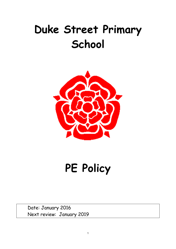# Duke Street Primary **School**



PE Policy

Date: January 2016 Next review: January 2019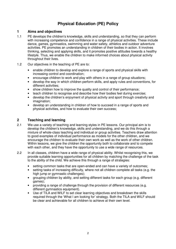# **Physical Education (PE) Policy**

## **1 Aims and objectives**

- 1.1 PE develops the children's knowledge, skills and understanding, so that they can perform with increasing competence and confidence in a range of physical activities. These include dance, games, gymnastics, swimming and water safety, athletics and outdoor adventure activities. PE promotes an understanding in children of their bodies in action. It involves thinking, selecting and applying skills, and it promotes positive attitudes towards a healthy lifestyle. Thus, we enable the children to make informed choices about physical activity throughout their lives.
- 1.2 Our objectives in the teaching of PE are to:
	- enable children to develop and explore a range of sports and physical skills with increasing control and coordination;
	- encourage children to work and play with others in a range of group situations;
	- develop the way in which children perform skills, and apply rules and conventions, for different activities;
	- show children how to improve the quality and control of their performance;
	- teach children to recognise and describe how their bodies feel during exercise;
	- develop the children's enjoyment of physical activity and sport through creativity and imagination:
	- develop an understanding in children of how to succeed in a range of sports and physical activities, and how to evaluate their own success;

## **2 Teaching and learning**

- 2.1 We use a variety of teaching and learning styles in PE lessons. Our principal aim is to develop the children's knowledge, skills and understanding, and we do this through a mixture of whole-class teaching and individual or group activities. Teachers draw attention to good examples of individual performance as models for the other children, and we encourage the children to evaluate their own work as well as the work of other children. Within lessons, we give the children the opportunity both to collaborate and to compete with each other, and they have the opportunity to use a wide range of resources.
- 2.2 In all classes, children have a wide range of physical ability. Whilst recognising this, we provide suitable learning opportunities for all children by matching the challenge of the task to the ability of the child. We achieve this through a range of strategies:
	- setting common tasks that are open-ended and can have a variety of outcomes;
	- setting tasks of increasing difficulty, where not all children complete all tasks (e.g. the high jump or gymnastic challenges);
	- grouping children by ability, and setting different tasks for each group (e.g. different games);
	- providing a range of challenge through the provision of different resources (e.g. different gymnastics equipment).
	- Use of TILA and WILF to set clear learning objectives and breakdown the skills required through the 'What I am looking for' strategy. Both the TILA and WILF should be clear and achievable for all children to achieve at their own level.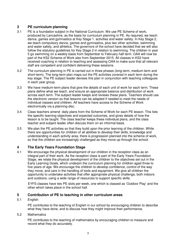# **3 PE curriculum planning**

- 3.1 PE is a foundation subject in the National Curriculum. We use PE Scheme of work, produced by Lancashire, as the basis for curriculum planning in PE. As required, we teach dance, games and gymnastics at Key Stage 1. activities and water safety. In Key Stage 2, we teach compulsory dance, games and gymnastics, plus two other activities: swimming and water safety, and athletics. The governors of the school have decided that we will also follow the statutory guidelines for Key Stage 2 in relation to swimming. The children in year 5 go swimming on a weekly basis from September to February half term. OAA will now be part of the KS2 Scheme of Work also from September 2015. All classes in KS2 have received coaching in relation to teaching and assessing OAA to make sure that all relevant staff are competent and confident delivering these sessions.
- 3.2 The curriculum planning in PE is carried out in three phases (long-term, medium-term and short-term). The long-term plan maps out the PE activities covered in each term during the key stage. The PE subject leader devises this plan in conjunction with teaching colleagues in each year group.
- 3.3 We have medium-term plans that give the details of each unit of work for each term. These plans define what we teach, and ensure an appropriate balance and distribution of work across each term. The subject leader keeps and reviews these plans. Teachers should use the electronic version so that lessons can be adapted if needed to meet the needs of individual classes and children. All teachers have access to the Scheme of Work electronically via a planning disc.
- 3.4 Class teachers amend daily plans from the Scheme of Work for each PE lesson. This lists the specific learning objectives and expected outcomes, and gives details of how the lesson is to be taught. The class teacher keeps these individual plans, and the class teacher and subject leader often discuss them on an informal basis.
- 3.5 We plan the PE activities so that they build upon the prior learning of the children. While there are opportunities for children of all abilities to develop their skills, knowledge and understanding in each activity area, there is progression planned into the scheme of work, so that the children are increasingly challenged as they move up through the school.

# **4 The Early Years Foundation Stage**

4.1 We encourage the physical development of our children in the reception class as an integral part of their work. As the reception class is part of the Early Years Foundation Stage, we relate the physical development of the children to the objectives set out in the Early Learning Goals, which underpin the curriculum planning for children aged three to five years of age. We encourage the children to develop confidence, control of the way they move, and care in the handling of tools and equipment. We give all children the opportunity to undertake activities that offer appropriate physical challenge, both indoors and outdoors, using a wide range of resources to support specific skills.

 EYFS classes have two PE slots per week, one which is classed as 'Outdoor Play' and the other which takes place in the school hall.

# **5 Contribution of PE to teaching in other curriculum areas**

#### 5.1 English

PE contributes to the teaching of English in our school by encouraging children to describe what they have done, and to discuss how they might improve their performance.

#### 5.2 Mathematics

 PE contributes to the teaching of mathematics by encouraging children to measure and record what they do accurately.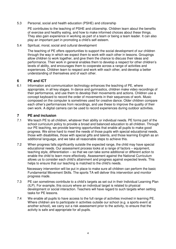5.3 Personal, social and health education (PSHE) and citizenship

 PE contributes to the teaching of PSHE and citizenship. Children learn about the benefits of exercise and healthy eating, and how to make informed choices about these things. They also gain experience in working as part of a team or being a team leader. It can also play an important part in promoting a child's self esteem.

5.4 Spiritual, moral, social and cultural development

 The teaching of PE offers opportunities to support the social development of our children through the way in which we expect them to work with each other in lessons. Groupings allow children to work together, and give them the chance to discuss their ideas and performance. Their work in general enables them to develop a respect for other children's levels of ability, and encourages them to cooperate across a range of activities and experiences. Children learn to respect and work with each other, and develop a better understanding of themselves and of each other.

#### **6 PE and ICT**

6.1 Information and communication technology enhances the teaching of PE, where appropriate, in all key stages. In dance and gymnastics, children make video recordings of their performance, and use them to develop their movements and actions. Children use a concept keyboard to record the order of movements in their sequences of work. Music composed on the computer is sometimes used for creative dance. Older children compare each other's performances from recordings, and use these to improve the quality of their own work. A digital camera can be used to record experiences during outdoor activities.

#### **7 PE and inclusion**

- 7.1 We teach PE to all children, whatever their ability or individual needs. PE forms part of the school curriculum policy to provide a broad and balanced education to all children. Through our PE teaching, we provide learning opportunities that enable all pupils to make good progress. We strive hard to meet the needs of those pupils with special educational needs, those with disabilities, those with special gifts and talents, and those learning English as an additional language, and we take all reasonable steps to achieve this.
- 7.2 When progress falls significantly outside the expected range, the child may have special educational needs. Our assessment process looks at a range of factors – equipment, teaching style, differentiation – so that we can take some additional or different action to enable the child to learn more effectively. Assessment against the National Curriculum allows us to consider each child's attainment and progress against expected levels. This helps to ensure that our teaching is matched to the child's needs.

 Necessary intervention will be put in place to make sure all children can perform the basic Fundamental Movement Skills. The sports TA will deliver this intervention and monitor progress made.

- 7.3 PE can sometimes contribute to a child's targets as set out in their Individual Learning Plan (ILP). For example, this occurs where an individual target is related to physical development or social interaction. Teachers will have regard to such targets when setting tasks for PE lessons.
- 7.4 We enable all pupils to have access to the full range of activities involved in learning PE. Where children are to participate in activities outside our school (e.g. a sports event at another school), we carry out a risk assessment prior to the activity, to ensure that the activity is safe and appropriate for all pupils.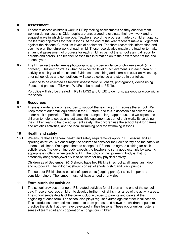# **8 Assessment**

- 8.1 Teachers assess children's work in PE by making assessments as they observe them working during lessons. Older pupils are encouraged to evaluate their own work and to suggest ways in which to improve. Teachers record the progress made by children against the learning objectives for their lessons. At the end of the year teachers make a judgement against the National Curriculum levels of attainment. Teachers record this information and use it to plan the future work of each child. These records also enable the teacher to make an annual assessment of progress for each child, as part of the school's annual report to parents and carers. The teacher passes this information on to the next teacher at the end of each year.
- 8.2 The PE subject leader keeps photographic and video evidence of children's work (in a portfolio). This demonstrates what the expected level of achievement is in each area of PE activity in each year of the school. Evidence of coaching and extra-curricular activities e.g. after school clubs and competitions will also be collected and stored in portfolios.

 Evidence to be collected as follows: Assessment tick charts, photographs, videos using iPads, and photos of TILA and WILFs to be added to PE file.

 Portfolios will also be created in KS1 / LKS2 and UKS2 to demonstrate good practice within the school.

## **9 Resources**

9.1 There is a wide range of resources to support the teaching of PE across the school. We keep most of our small equipment in the PE store, and this is accessible to children only under adult supervision. The hall contains a range of large apparatus, and we expect the children to help to set up and put away this equipment as part of their work. By so doing, the children learn to handle equipment safely. The children use the school field for games and athletics activities, and the local swimming pool for swimming lessons.

#### **10 Health and safety**

10.1 We ensure that all general health and safety requirements apply in PE lessons and all sporting activities. We encourage the children to consider their own safety and the safety of others at all times. We expect them to change for PE into the agreed clothing for each activity area. The governing body expects the teachers to set a good example by wearing appropriate clothing when teaching PE. The policy of the governing body is that no potentially dangerous jewellery is to be worn for any physical activity.

 Children as of September 2013 should have two PE kits in school at all times, an indoor and outdoor kit. The indoor kit should consist of shorts, t-shirt and black pumps.

 The outdoor PE kit should consist of sport pants (jogging pants), t-shirt, jumper and sensible trainers. The jumper must not have a hood or any zips.

#### **11 Extra-curricular activities**

11.1 The school provides a range of PE-related activities for children at the end of the school day. These encourage children to develop further their skills in a range of the activity areas. The school sends details of the current club activities to parents and carers at the beginning of each term. The school also plays regular fixtures against other local schools. This introduces a competitive element to team games, and allows the children to put into practice the skills that they have developed in their lessons. These opportunities foster a sense of team spirit and cooperation amongst our children.